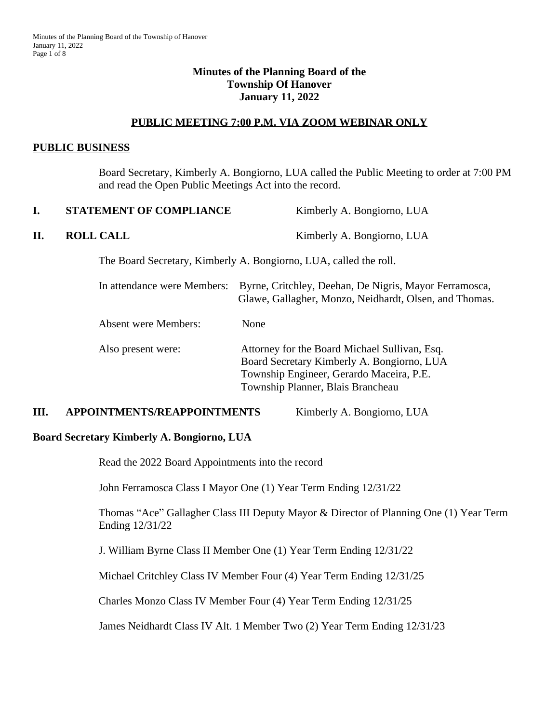#### **Minutes of the Planning Board of the Township Of Hanover January 11, 2022**

#### **PUBLIC MEETING 7:00 P.M. VIA ZOOM WEBINAR ONLY**

#### **PUBLIC BUSINESS**

Board Secretary, Kimberly A. Bongiorno, LUA called the Public Meeting to order at 7:00 PM and read the Open Public Meetings Act into the record.

| I. | <b>STATEMENT OF COMPLIANCE</b> | Kimberly A. Bongiorno, LUA                                                                                                                                                   |
|----|--------------------------------|------------------------------------------------------------------------------------------------------------------------------------------------------------------------------|
| П. | <b>ROLL CALL</b>               | Kimberly A. Bongiorno, LUA                                                                                                                                                   |
|    |                                | The Board Secretary, Kimberly A. Bongiorno, LUA, called the roll.                                                                                                            |
|    | In attendance were Members:    | Byrne, Critchley, Deehan, De Nigris, Mayor Ferramosca,<br>Glawe, Gallagher, Monzo, Neidhardt, Olsen, and Thomas.                                                             |
|    | <b>Absent were Members:</b>    | None                                                                                                                                                                         |
|    | Also present were:             | Attorney for the Board Michael Sullivan, Esq.<br>Board Secretary Kimberly A. Bongiorno, LUA<br>Township Engineer, Gerardo Maceira, P.E.<br>Township Planner, Blais Brancheau |
|    |                                |                                                                                                                                                                              |

## **III. APPOINTMENTS/REAPPOINTMENTS** Kimberly A. Bongiorno, LUA

#### **Board Secretary Kimberly A. Bongiorno, LUA**

Read the 2022 Board Appointments into the record

John Ferramosca Class I Mayor One (1) Year Term Ending 12/31/22

Thomas "Ace" Gallagher Class III Deputy Mayor & Director of Planning One (1) Year Term Ending 12/31/22

J. William Byrne Class II Member One (1) Year Term Ending 12/31/22

Michael Critchley Class IV Member Four (4) Year Term Ending 12/31/25

Charles Monzo Class IV Member Four (4) Year Term Ending 12/31/25

James Neidhardt Class IV Alt. 1 Member Two (2) Year Term Ending 12/31/23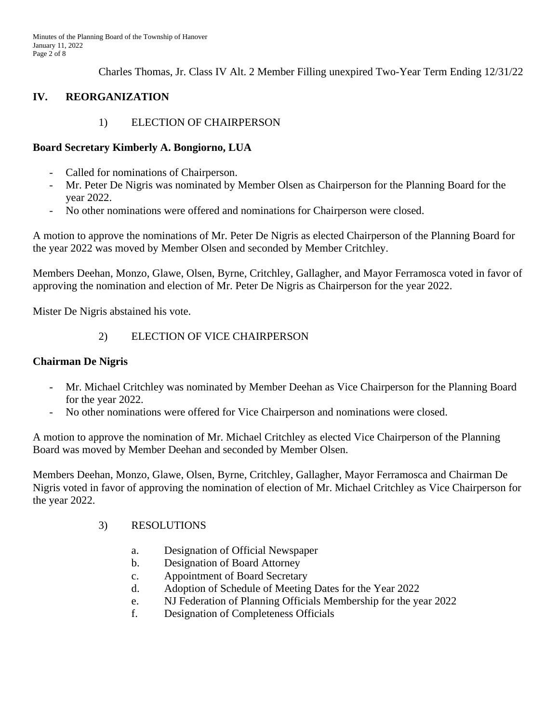Charles Thomas, Jr. Class IV Alt. 2 Member Filling unexpired Two-Year Term Ending 12/31/22

# **IV. REORGANIZATION**

# 1) ELECTION OF CHAIRPERSON

### **Board Secretary Kimberly A. Bongiorno, LUA**

- Called for nominations of Chairperson.
- Mr. Peter De Nigris was nominated by Member Olsen as Chairperson for the Planning Board for the year 2022.
- No other nominations were offered and nominations for Chairperson were closed.

A motion to approve the nominations of Mr. Peter De Nigris as elected Chairperson of the Planning Board for the year 2022 was moved by Member Olsen and seconded by Member Critchley.

Members Deehan, Monzo, Glawe, Olsen, Byrne, Critchley, Gallagher, and Mayor Ferramosca voted in favor of approving the nomination and election of Mr. Peter De Nigris as Chairperson for the year 2022.

Mister De Nigris abstained his vote.

# 2) ELECTION OF VICE CHAIRPERSON

#### **Chairman De Nigris**

- Mr. Michael Critchley was nominated by Member Deehan as Vice Chairperson for the Planning Board for the year 2022.
- No other nominations were offered for Vice Chairperson and nominations were closed.

A motion to approve the nomination of Mr. Michael Critchley as elected Vice Chairperson of the Planning Board was moved by Member Deehan and seconded by Member Olsen.

Members Deehan, Monzo, Glawe, Olsen, Byrne, Critchley, Gallagher, Mayor Ferramosca and Chairman De Nigris voted in favor of approving the nomination of election of Mr. Michael Critchley as Vice Chairperson for the year 2022.

#### 3) RESOLUTIONS

- a. Designation of Official Newspaper
- b. Designation of Board Attorney
- c. Appointment of Board Secretary
- d. Adoption of Schedule of Meeting Dates for the Year 2022
- e. NJ Federation of Planning Officials Membership for the year 2022
- f. Designation of Completeness Officials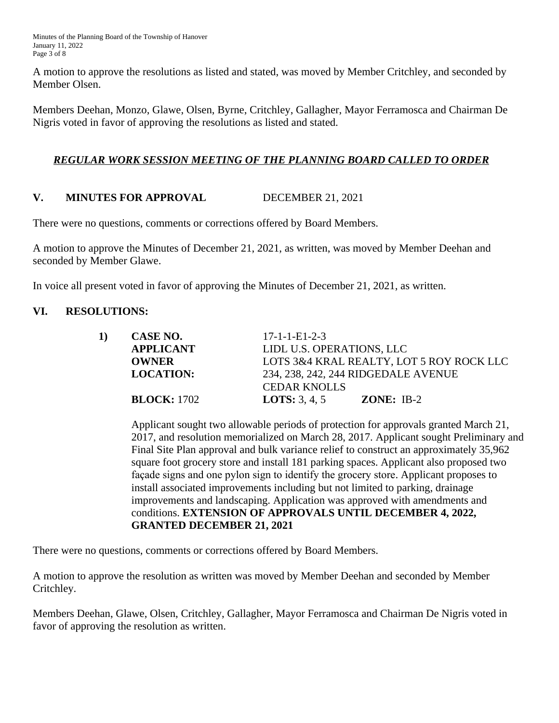Minutes of the Planning Board of the Township of Hanover January 11, 2022 Page 3 of 8

A motion to approve the resolutions as listed and stated, was moved by Member Critchley, and seconded by Member Olsen.

Members Deehan, Monzo, Glawe, Olsen, Byrne, Critchley, Gallagher, Mayor Ferramosca and Chairman De Nigris voted in favor of approving the resolutions as listed and stated.

## *REGULAR WORK SESSION MEETING OF THE PLANNING BOARD CALLED TO ORDER*

# **V. MINUTES FOR APPROVAL** DECEMBER 21, 2021

There were no questions, comments or corrections offered by Board Members.

A motion to approve the Minutes of December 21, 2021, as written, was moved by Member Deehan and seconded by Member Glawe.

In voice all present voted in favor of approving the Minutes of December 21, 2021, as written.

#### **VI. RESOLUTIONS:**

| CASE NO.           | $17 - 1 - 1 - E1 - 2 - 3$                                                                                    |  |  |
|--------------------|--------------------------------------------------------------------------------------------------------------|--|--|
| <b>APPLICANT</b>   | LIDL U.S. OPERATIONS, LLC<br>LOTS 3&4 KRAL REALTY, LOT 5 ROY ROCK LLC<br>234, 238, 242, 244 RIDGEDALE AVENUE |  |  |
| <b>OWNER</b>       |                                                                                                              |  |  |
| <b>LOCATION:</b>   |                                                                                                              |  |  |
|                    | <b>CEDAR KNOLLS</b>                                                                                          |  |  |
| <b>BLOCK: 1702</b> | <b>LOTS:</b> 3, 4, 5<br><b>ZONE:</b> IB-2                                                                    |  |  |
|                    |                                                                                                              |  |  |

Applicant sought two allowable periods of protection for approvals granted March 21, 2017, and resolution memorialized on March 28, 2017. Applicant sought Preliminary and Final Site Plan approval and bulk variance relief to construct an approximately 35,962 square foot grocery store and install 181 parking spaces. Applicant also proposed two façade signs and one pylon sign to identify the grocery store. Applicant proposes to install associated improvements including but not limited to parking, drainage improvements and landscaping. Application was approved with amendments and conditions. **EXTENSION OF APPROVALS UNTIL DECEMBER 4, 2022, GRANTED DECEMBER 21, 2021**

There were no questions, comments or corrections offered by Board Members.

A motion to approve the resolution as written was moved by Member Deehan and seconded by Member Critchley.

Members Deehan, Glawe, Olsen, Critchley, Gallagher, Mayor Ferramosca and Chairman De Nigris voted in favor of approving the resolution as written.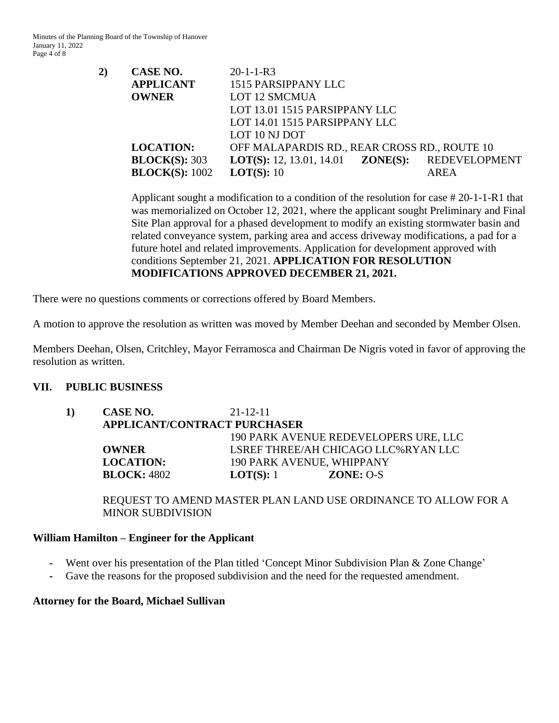Minutes of the Planning Board of the Township of Hanover January 11, 2022 Page 4 of 8

| 2) | CASE NO.                 | $20-1-1-R3$                     |                                              |               |
|----|--------------------------|---------------------------------|----------------------------------------------|---------------|
|    | <b>APPLICANT</b>         | 1515 PARSIPPANY LLC             |                                              |               |
|    | <b>OWNER</b>             | <b>LOT 12 SMCMUA</b>            |                                              |               |
|    |                          | LOT 13.01 1515 PARSIPPANY LLC   |                                              |               |
|    |                          | LOT 14.01 1515 PARSIPPANY LLC   |                                              |               |
|    |                          | LOT 10 NJ DOT                   |                                              |               |
|    | <b>LOCATION:</b>         |                                 | OFF MALAPARDIS RD., REAR CROSS RD., ROUTE 10 |               |
|    | $\textbf{BLOCK}(S): 303$ | <b>LOT(S):</b> 12, 13.01, 14.01 | ZONE(S):                                     | REDEVELOPMENT |
|    | <b>BLOCK(S): 1002</b>    | LOT(S): 10                      |                                              | AREA          |
|    |                          |                                 |                                              |               |

Applicant sought a modification to a condition of the resolution for case # 20-1-1-R1 that was memorialized on October 12, 2021, where the applicant sought Preliminary and Final Site Plan approval for a phased development to modify an existing stormwater basin and related conveyance system, parking area and access driveway modifications, a pad for a future hotel and related improvements. Application for development approved with conditions September 21, 2021. **APPLICATION FOR RESOLUTION MODIFICATIONS APPROVED DECEMBER 21, 2021.**

There were no questions comments or corrections offered by Board Members.

A motion to approve the resolution as written was moved by Member Deehan and seconded by Member Olsen.

Members Deehan, Olsen, Critchley, Mayor Ferramosca and Chairman De Nigris voted in favor of approving the resolution as written.

#### **VII. PUBLIC BUSINESS**

**1) CASE NO.** 21-12-11 **APPLICANT/CONTRACT PURCHASER** 190 PARK AVENUE REDEVELOPERS URE, LLC **OWNER** LSREF THREE/AH CHICAGO LLC%RYAN LLC **LOCATION:** 190 PARK AVENUE, WHIPPANY **BLOCK:** 4802 **LOT(S):** 1 **ZONE:** O-S

REQUEST TO AMEND MASTER PLAN LAND USE ORDINANCE TO ALLOW FOR A MINOR SUBDIVISION

#### **William Hamilton – Engineer for the Applicant**

- Went over his presentation of the Plan titled 'Concept Minor Subdivision Plan & Zone Change'
- Gave the reasons for the proposed subdivision and the need for the requested amendment.

#### **Attorney for the Board, Michael Sullivan**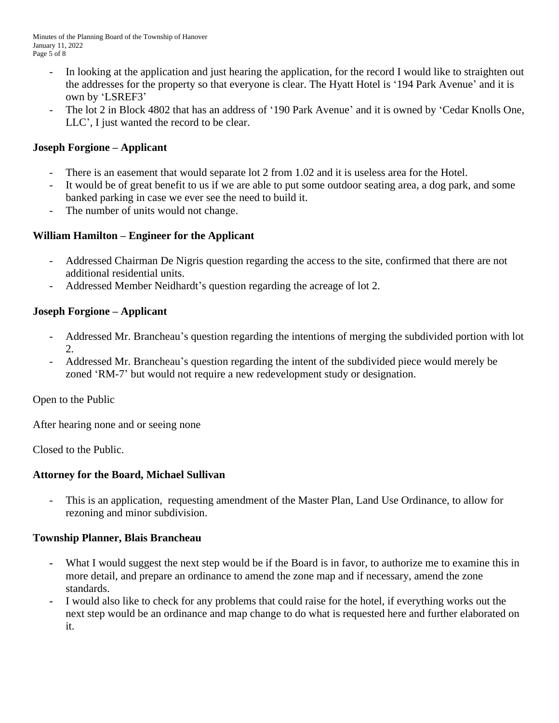- In looking at the application and just hearing the application, for the record I would like to straighten out the addresses for the property so that everyone is clear. The Hyatt Hotel is '194 Park Avenue' and it is own by 'LSREF3'
- The lot 2 in Block 4802 that has an address of '190 Park Avenue' and it is owned by 'Cedar Knolls One, LLC', I just wanted the record to be clear.

# **Joseph Forgione – Applicant**

- There is an easement that would separate lot 2 from 1.02 and it is useless area for the Hotel.
- It would be of great benefit to us if we are able to put some outdoor seating area, a dog park, and some banked parking in case we ever see the need to build it.
- The number of units would not change.

# **William Hamilton – Engineer for the Applicant**

- Addressed Chairman De Nigris question regarding the access to the site, confirmed that there are not additional residential units.
- Addressed Member Neidhardt's question regarding the acreage of lot 2.

# **Joseph Forgione – Applicant**

- Addressed Mr. Brancheau's question regarding the intentions of merging the subdivided portion with lot 2.
- Addressed Mr. Brancheau's question regarding the intent of the subdivided piece would merely be zoned 'RM-7' but would not require a new redevelopment study or designation.

Open to the Public

After hearing none and or seeing none

Closed to the Public.

## **Attorney for the Board, Michael Sullivan**

This is an application, requesting amendment of the Master Plan, Land Use Ordinance, to allow for rezoning and minor subdivision.

# **Township Planner, Blais Brancheau**

- What I would suggest the next step would be if the Board is in favor, to authorize me to examine this in more detail, and prepare an ordinance to amend the zone map and if necessary, amend the zone standards.
- **-** I would also like to check for any problems that could raise for the hotel, if everything works out the next step would be an ordinance and map change to do what is requested here and further elaborated on it.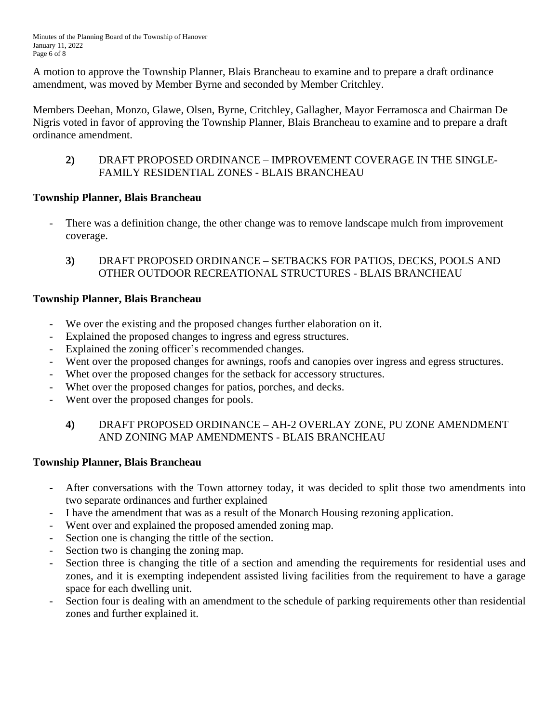A motion to approve the Township Planner, Blais Brancheau to examine and to prepare a draft ordinance amendment, was moved by Member Byrne and seconded by Member Critchley.

Members Deehan, Monzo, Glawe, Olsen, Byrne, Critchley, Gallagher, Mayor Ferramosca and Chairman De Nigris voted in favor of approving the Township Planner, Blais Brancheau to examine and to prepare a draft ordinance amendment.

**2)** DRAFT PROPOSED ORDINANCE – IMPROVEMENT COVERAGE IN THE SINGLE-FAMILY RESIDENTIAL ZONES - BLAIS BRANCHEAU

# **Township Planner, Blais Brancheau**

- There was a definition change, the other change was to remove landscape mulch from improvement coverage.
	- **3)** DRAFT PROPOSED ORDINANCE SETBACKS FOR PATIOS, DECKS, POOLS AND OTHER OUTDOOR RECREATIONAL STRUCTURES - BLAIS BRANCHEAU

# **Township Planner, Blais Brancheau**

- We over the existing and the proposed changes further elaboration on it.
- Explained the proposed changes to ingress and egress structures.
- Explained the zoning officer's recommended changes.
- Went over the proposed changes for awnings, roofs and canopies over ingress and egress structures.
- Whet over the proposed changes for the setback for accessory structures.
- Whet over the proposed changes for patios, porches, and decks.
- Went over the proposed changes for pools.

# **4)** DRAFT PROPOSED ORDINANCE – AH-2 OVERLAY ZONE, PU ZONE AMENDMENT AND ZONING MAP AMENDMENTS - BLAIS BRANCHEAU

# **Township Planner, Blais Brancheau**

- After conversations with the Town attorney today, it was decided to split those two amendments into two separate ordinances and further explained
- I have the amendment that was as a result of the Monarch Housing rezoning application.
- Went over and explained the proposed amended zoning map.
- Section one is changing the tittle of the section.
- Section two is changing the zoning map.
- Section three is changing the title of a section and amending the requirements for residential uses and zones, and it is exempting independent assisted living facilities from the requirement to have a garage space for each dwelling unit.
- Section four is dealing with an amendment to the schedule of parking requirements other than residential zones and further explained it.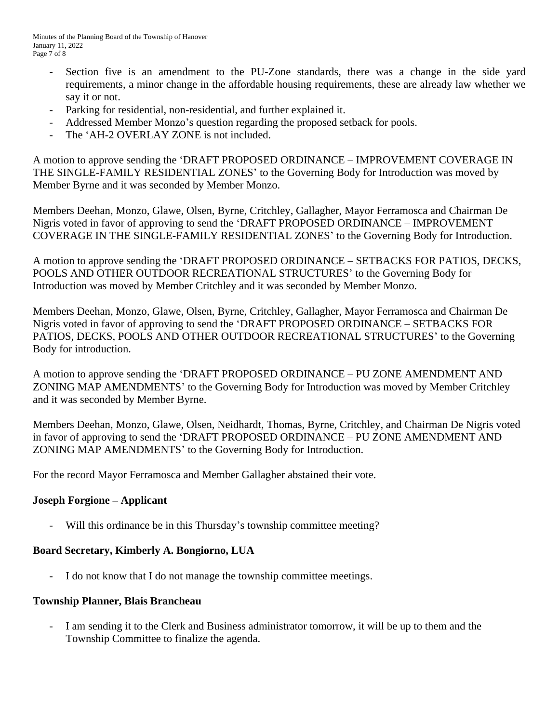- Section five is an amendment to the PU-Zone standards, there was a change in the side yard requirements, a minor change in the affordable housing requirements, these are already law whether we say it or not.
- Parking for residential, non-residential, and further explained it.
- Addressed Member Monzo's question regarding the proposed setback for pools.
- The 'AH-2 OVERLAY ZONE is not included.

A motion to approve sending the 'DRAFT PROPOSED ORDINANCE – IMPROVEMENT COVERAGE IN THE SINGLE-FAMILY RESIDENTIAL ZONES' to the Governing Body for Introduction was moved by Member Byrne and it was seconded by Member Monzo.

Members Deehan, Monzo, Glawe, Olsen, Byrne, Critchley, Gallagher, Mayor Ferramosca and Chairman De Nigris voted in favor of approving to send the 'DRAFT PROPOSED ORDINANCE – IMPROVEMENT COVERAGE IN THE SINGLE-FAMILY RESIDENTIAL ZONES' to the Governing Body for Introduction.

A motion to approve sending the 'DRAFT PROPOSED ORDINANCE – SETBACKS FOR PATIOS, DECKS, POOLS AND OTHER OUTDOOR RECREATIONAL STRUCTURES' to the Governing Body for Introduction was moved by Member Critchley and it was seconded by Member Monzo.

Members Deehan, Monzo, Glawe, Olsen, Byrne, Critchley, Gallagher, Mayor Ferramosca and Chairman De Nigris voted in favor of approving to send the 'DRAFT PROPOSED ORDINANCE – SETBACKS FOR PATIOS, DECKS, POOLS AND OTHER OUTDOOR RECREATIONAL STRUCTURES' to the Governing Body for introduction.

A motion to approve sending the 'DRAFT PROPOSED ORDINANCE – PU ZONE AMENDMENT AND ZONING MAP AMENDMENTS' to the Governing Body for Introduction was moved by Member Critchley and it was seconded by Member Byrne.

Members Deehan, Monzo, Glawe, Olsen, Neidhardt, Thomas, Byrne, Critchley, and Chairman De Nigris voted in favor of approving to send the 'DRAFT PROPOSED ORDINANCE – PU ZONE AMENDMENT AND ZONING MAP AMENDMENTS' to the Governing Body for Introduction.

For the record Mayor Ferramosca and Member Gallagher abstained their vote.

## **Joseph Forgione – Applicant**

Will this ordinance be in this Thursday's township committee meeting?

## **Board Secretary, Kimberly A. Bongiorno, LUA**

- I do not know that I do not manage the township committee meetings.

#### **Township Planner, Blais Brancheau**

I am sending it to the Clerk and Business administrator tomorrow, it will be up to them and the Township Committee to finalize the agenda.